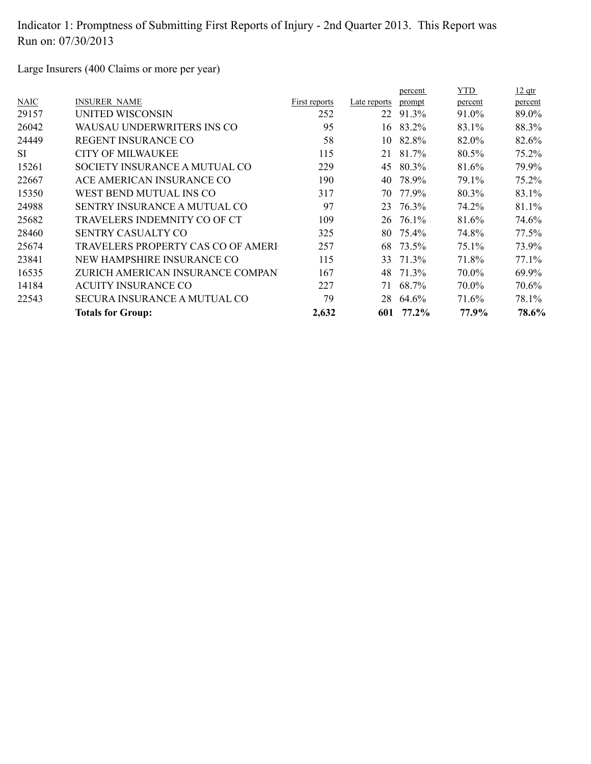Large Insurers (400 Claims or more per year)

|             |                                     |               |              | percent | YTD     | $12$ qtr |
|-------------|-------------------------------------|---------------|--------------|---------|---------|----------|
| <b>NAIC</b> | <b>INSURER NAME</b>                 | First reports | Late reports | prompt  | percent | percent  |
| 29157       | UNITED WISCONSIN                    | 252           | 22           | 91.3%   | 91.0%   | 89.0%    |
| 26042       | WAUSAU UNDERWRITERS INS CO          | 95            | 16           | 83.2%   | 83.1%   | 88.3%    |
| 24449       | <b>REGENT INSURANCE CO</b>          | 58            | 10           | 82.8%   | 82.0%   | 82.6%    |
| <b>SI</b>   | <b>CITY OF MILWAUKEE</b>            | 115           | 21           | 81.7%   | 80.5%   | 75.2%    |
| 15261       | SOCIETY INSURANCE A MUTUAL CO       | 229           | 45           | 80.3%   | 81.6%   | 79.9%    |
| 22667       | ACE AMERICAN INSURANCE CO           | 190           | 40           | 78.9%   | 79.1%   | 75.2%    |
| 15350       | WEST BEND MUTUAL INS CO             | 317           | 70           | 77.9%   | 80.3%   | 83.1%    |
| 24988       | SENTRY INSURANCE A MUTUAL CO        | 97            | 23           | 76.3%   | 74.2%   | 81.1%    |
| 25682       | TRAVELERS INDEMNITY CO OF CT        | 109           | 26           | 76.1%   | 81.6%   | 74.6%    |
| 28460       | <b>SENTRY CASUALTY CO</b>           | 325           | 80.          | 75.4%   | 74.8%   | 77.5%    |
| 25674       | TRAVELERS PROPERTY CAS CO OF AMERI  | 257           | 68           | 73.5%   | 75.1%   | 73.9%    |
| 23841       | NEW HAMPSHIRE INSURANCE CO          | 115           | 33           | 71.3%   | 71.8%   | 77.1%    |
| 16535       | ZURICH AMERICAN INSURANCE COMPAN    | 167           | 48           | 71.3%   | 70.0%   | 69.9%    |
| 14184       | <b>ACUITY INSURANCE CO</b>          | 227           | 71           | 68.7%   | 70.0%   | 70.6%    |
| 22543       | <b>SECURA INSURANCE A MUTUAL CO</b> | 79            | 28           | 64.6%   | 71.6%   | 78.1%    |
|             | <b>Totals for Group:</b>            | 2,632         | 601          | 77.2%   | 77.9%   | 78.6%    |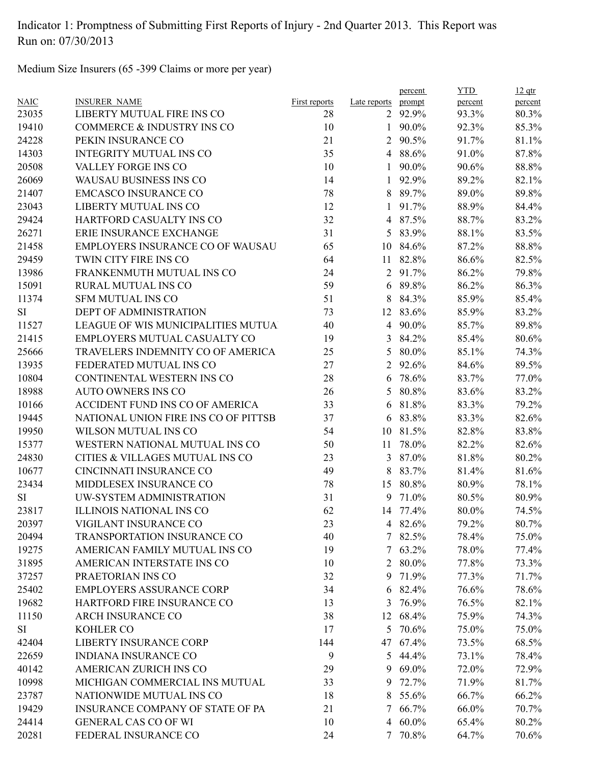Medium Size Insurers (65 -399 Claims or more per year)

|             |                                      |               |                | percent         | <b>YTD</b> | $12$ qtr |
|-------------|--------------------------------------|---------------|----------------|-----------------|------------|----------|
| <b>NAIC</b> | <b>INSURER NAME</b>                  | First reports | Late reports   | prompt          | percent    | percent  |
| 23035       | LIBERTY MUTUAL FIRE INS CO           | 28            |                | 2 92.9%         | 93.3%      | 80.3%    |
| 19410       | COMMERCE & INDUSTRY INS CO           | 10            |                | 1 $90.0\%$      | 92.3%      | 85.3%    |
| 24228       | PEKIN INSURANCE CO                   | 21            | $\overline{2}$ | 90.5%           | 91.7%      | 81.1%    |
| 14303       | <b>INTEGRITY MUTUAL INS CO</b>       | 35            | $\overline{4}$ | 88.6%           | 91.0%      | 87.8%    |
| 20508       | VALLEY FORGE INS CO                  | 10            | $\mathbf{1}$   | 90.0%           | 90.6%      | 88.8%    |
| 26069       | WAUSAU BUSINESS INS CO               | 14            | $\mathbf{1}$   | 92.9%           | 89.2%      | 82.1%    |
| 21407       | <b>EMCASCO INSURANCE CO</b>          | 78            |                | 8 89.7%         | 89.0%      | 89.8%    |
| 23043       | LIBERTY MUTUAL INS CO                | 12            |                | $1\quad 91.7\%$ | 88.9%      | 84.4%    |
| 29424       | HARTFORD CASUALTY INS CO             | 32            |                | 4 87.5%         | 88.7%      | 83.2%    |
| 26271       | ERIE INSURANCE EXCHANGE              | 31            |                | 5 83.9%         | 88.1%      | 83.5%    |
| 21458       | EMPLOYERS INSURANCE CO OF WAUSAU     | 65            | 10             | 84.6%           | 87.2%      | 88.8%    |
| 29459       | TWIN CITY FIRE INS CO                | 64            | 11             | 82.8%           | 86.6%      | 82.5%    |
| 13986       | FRANKENMUTH MUTUAL INS CO            | 24            |                | 2 91.7%         | 86.2%      | 79.8%    |
| 15091       | <b>RURAL MUTUAL INS CO</b>           | 59            |                | 6 89.8%         | 86.2%      | 86.3%    |
| 11374       | <b>SFM MUTUAL INS CO</b>             | 51            |                | 8 84.3%         | 85.9%      | 85.4%    |
| SI          | <b>DEPT OF ADMINISTRATION</b>        | 73            |                | 12 83.6%        | 85.9%      | 83.2%    |
| 11527       | LEAGUE OF WIS MUNICIPALITIES MUTUA   | 40            |                | 4 90.0%         | 85.7%      | 89.8%    |
| 21415       | EMPLOYERS MUTUAL CASUALTY CO         | 19            | 3              | 84.2%           | 85.4%      | 80.6%    |
| 25666       | TRAVELERS INDEMNITY CO OF AMERICA    | 25            | 5              | 80.0%           | 85.1%      | 74.3%    |
| 13935       | FEDERATED MUTUAL INS CO              | 27            | $\overline{2}$ | 92.6%           | 84.6%      | 89.5%    |
| 10804       | CONTINENTAL WESTERN INS CO           | 28            | 6              | 78.6%           | 83.7%      | 77.0%    |
| 18988       | <b>AUTO OWNERS INS CO</b>            | 26            | 5              | 80.8%           | 83.6%      | 83.2%    |
| 10166       | ACCIDENT FUND INS CO OF AMERICA      | 33            |                | 6 81.8%         | 83.3%      | 79.2%    |
| 19445       | NATIONAL UNION FIRE INS CO OF PITTSB | 37            | 6              | 83.8%           | 83.3%      | 82.6%    |
| 19950       | WILSON MUTUAL INS CO                 | 54            | 10             | 81.5%           | 82.8%      | 83.8%    |
| 15377       | WESTERN NATIONAL MUTUAL INS CO       | 50            | 11             | 78.0%           | 82.2%      | 82.6%    |
| 24830       | CITIES & VILLAGES MUTUAL INS CO      | 23            |                | 3 87.0%         | 81.8%      | 80.2%    |
| 10677       | CINCINNATI INSURANCE CO              | 49            | 8              | 83.7%           | 81.4%      | 81.6%    |
| 23434       | MIDDLESEX INSURANCE CO               | 78            |                | 15 80.8%        | 80.9%      | 78.1%    |
| SI          | UW-SYSTEM ADMINISTRATION             | 31            | 9              | 71.0%           | 80.5%      | 80.9%    |
| 23817       | <b>ILLINOIS NATIONAL INS CO</b>      | 62            |                | 14 77.4%        | 80.0%      | 74.5%    |
| 20397       | VIGILANT INSURANCE CO                | 23            |                | 4 82.6%         | 79.2%      | 80.7%    |
| 20494       | TRANSPORTATION INSURANCE CO          | 40            |                | 7 82.5%         | 78.4%      | 75.0%    |
| 19275       | AMERICAN FAMILY MUTUAL INS CO        | 19            |                | $7\quad 63.2\%$ | 78.0%      | 77.4%    |
| 31895       | AMERICAN INTERSTATE INS CO           | 10            | $\overline{2}$ | 80.0%           | 77.8%      | 73.3%    |
| 37257       | PRAETORIAN INS CO                    | 32            | 9              | 71.9%           | 77.3%      | 71.7%    |
| 25402       | <b>EMPLOYERS ASSURANCE CORP</b>      | 34            | 6              | 82.4%           | 76.6%      | 78.6%    |
| 19682       | HARTFORD FIRE INSURANCE CO           | 13            | 3              | 76.9%           | 76.5%      | 82.1%    |
| 11150       | <b>ARCH INSURANCE CO</b>             | 38            |                | 12 68.4%        | 75.9%      | 74.3%    |
| SI          | KOHLER CO                            | 17            |                | 5 70.6%         | 75.0%      | 75.0%    |
| 42404       | <b>LIBERTY INSURANCE CORP</b>        | 144           |                | 47 67.4%        | 73.5%      | 68.5%    |
| 22659       | <b>INDIANA INSURANCE CO</b>          | 9             | 5              | 44.4%           | 73.1%      | 78.4%    |
| 40142       | AMERICAN ZURICH INS CO               | 29            | 9              | 69.0%           | 72.0%      | 72.9%    |
| 10998       | MICHIGAN COMMERCIAL INS MUTUAL       | 33            | 9              | 72.7%           | 71.9%      | 81.7%    |
| 23787       | NATIONWIDE MUTUAL INS CO             | 18            | 8              | 55.6%           | 66.7%      | 66.2%    |
| 19429       | INSURANCE COMPANY OF STATE OF PA     | 21            | 7              | 66.7%           | 66.0%      | 70.7%    |
| 24414       | <b>GENERAL CAS CO OF WI</b>          | 10            |                | 4 60.0%         | 65.4%      | 80.2%    |
| 20281       | FEDERAL INSURANCE CO                 | 24            |                | 7 70.8%         | 64.7%      | 70.6%    |
|             |                                      |               |                |                 |            |          |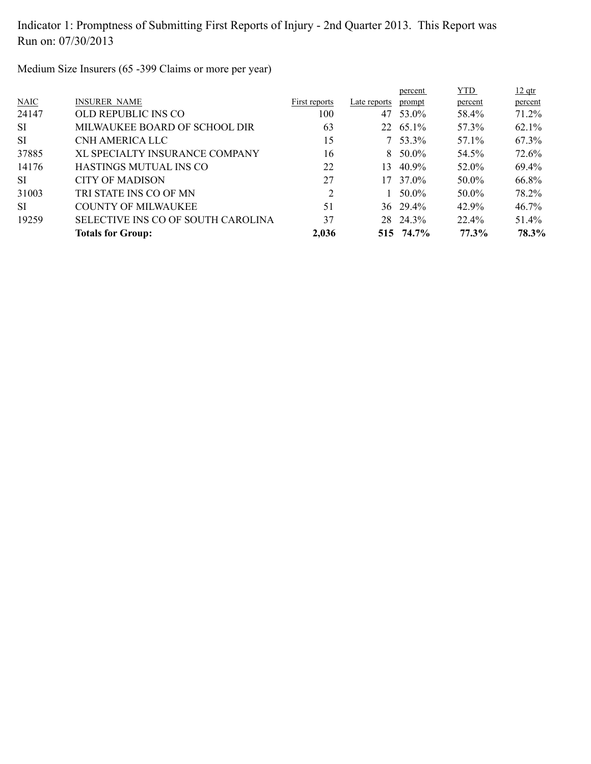Medium Size Insurers (65 -399 Claims or more per year)

|           | <b>Totals for Group:</b>           | 2,036          |              | 515 74.7%        | 77.3%      | 78.3%    |
|-----------|------------------------------------|----------------|--------------|------------------|------------|----------|
| 19259     | SELECTIVE INS CO OF SOUTH CAROLINA | 37             |              | 28 24.3%         | 22.4%      | 51.4%    |
| SI.       | COUNTY OF MILWAUKEE                | 51             |              | $36\quad 29.4\%$ | 42.9%      | 46.7%    |
| 31003     | TRI STATE INS CO OF MN             | $\overline{2}$ |              | 50.0%            | 50.0%      | 78.2%    |
| SI.       | CITY OF MADISON                    | 27             |              | 17 37.0%         | 50.0%      | 66.8%    |
| 14176     | HASTINGS MUTUAL INS CO             | 22             | 13.          | 40.9%            | 52.0%      | 69.4%    |
| 37885     | XL SPECIALTY INSURANCE COMPANY     | 16             |              | $8\quad 50.0\%$  | 54.5%      | 72.6%    |
| <b>SI</b> | CNH AMERICA LLC                    | 15             |              | $7\quad 53.3\%$  | 57.1%      | 67.3%    |
| SI        | MILWAUKEE BOARD OF SCHOOL DIR      | 63             |              | 22 65.1%         | 57.3%      | $62.1\%$ |
| 24147     | OLD REPUBLIC INS CO                | 100            | 47           | 53.0%            | 58.4%      | 71.2%    |
| N AIC     | <b>INSURER NAME</b>                | First reports  | Late reports | prompt           | percent    | percent  |
|           |                                    |                |              | percent          | <b>YTD</b> | $12$ qtr |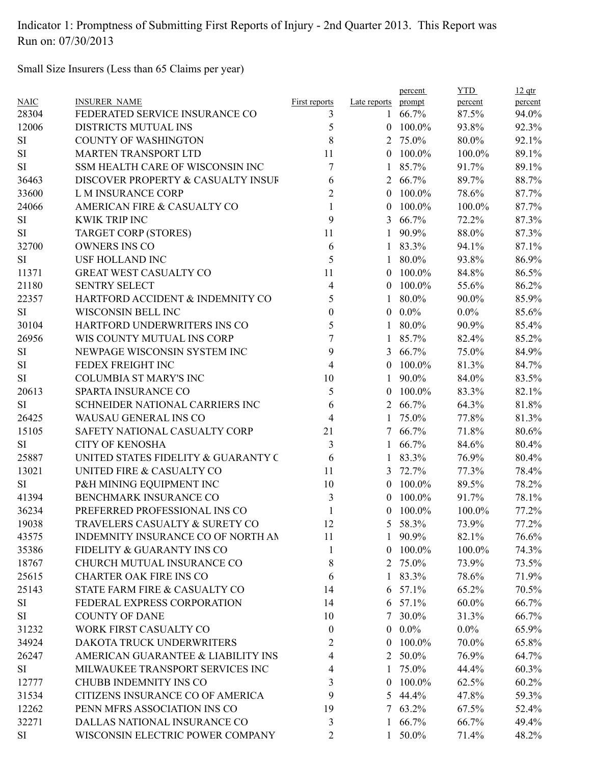Small Size Insurers (Less than 65 Claims per year)

| 3<br>$\mathbf{1}$<br>5<br>12006<br>DISTRICTS MUTUAL INS<br>$0$ 100.0%<br>93.8%<br>92.3%<br>8<br>SI<br><b>COUNTY OF WASHINGTON</b><br>2 75.0%<br>80.0%<br>92.1%<br>SI<br><b>MARTEN TRANSPORT LTD</b><br>11<br>100.0%<br>89.1%<br>100.0%<br>$\theta$<br>SI<br>7<br>SSM HEALTH CARE OF WISCONSIN INC<br>85.7%<br>91.7%<br>1<br>36463<br>DISCOVER PROPERTY & CASUALTY INSUF<br>6<br>66.7%<br>89.7%<br>88.7%<br>2<br>$\overline{2}$<br>33600<br>L M INSURANCE CORP<br>100.0%<br>78.6%<br>$\theta$<br>24066<br>AMERICAN FIRE & CASUALTY CO<br>1<br>100.0%<br>100.0%<br>$\overline{0}$<br>9<br>SI<br><b>KWIK TRIP INC</b><br>66.7%<br>72.2%<br>$\mathfrak{Z}$<br>11<br>SI<br>TARGET CORP (STORES)<br>90.9%<br>88.0%<br>$\mathbf{1}$<br>32700<br><b>OWNERS INS CO</b><br>83.3%<br>94.1%<br>6<br>1<br>5<br><b>SI</b><br><b>USF HOLLAND INC</b><br>80.0%<br>93.8%<br>1<br>11371<br><b>GREAT WEST CASUALTY CO</b><br>11<br>100.0%<br>84.8%<br>$\overline{0}$<br><b>SENTRY SELECT</b><br>21180<br>4<br>100.0%<br>55.6%<br>$\theta$<br>22357<br>HARTFORD ACCIDENT & INDEMNITY CO<br>5<br>80.0%<br>90.0%<br>1<br>SI<br>$0.0\%$<br>WISCONSIN BELL INC<br>0<br>$0.0\%$<br>5<br>30104<br>80.0%<br>90.9%<br>HARTFORD UNDERWRITERS INS CO<br>$\mathbf{1}$<br>26956<br>7<br>WIS COUNTY MUTUAL INS CORP<br>85.7%<br>82.4%<br>9<br>SI<br>NEWPAGE WISCONSIN SYSTEM INC<br>66.7%<br>75.0%<br>3<br>SI<br>FEDEX FREIGHT INC<br>4<br>100.0%<br>81.3%<br>$\overline{0}$<br>SI<br><b>COLUMBIA ST MARY'S INC</b><br>10<br>90.0%<br>84.0%<br>1<br>5<br>20613<br>SPARTA INSURANCE CO<br>100.0%<br>83.3%<br>$\theta$<br>64.3%<br><b>SI</b><br>SCHNEIDER NATIONAL CARRIERS INC<br>6<br>2 66.7%<br>$\overline{4}$<br>26425<br>WAUSAU GENERAL INS CO<br>75.0%<br>77.8%<br>1<br>15105<br>SAFETY NATIONAL CASUALTY CORP<br>21<br>66.7%<br>71.8%<br>7<br><b>SI</b><br><b>CITY OF KENOSHA</b><br>3<br>66.7%<br>84.6%<br>1<br>6<br>25887<br>UNITED STATES FIDELITY & GUARANTY C<br>83.3%<br>76.9%<br>$\mathbf{1}$<br>13021<br>UNITED FIRE & CASUALTY CO<br>11<br>72.7%<br>77.3%<br>3<br>SI<br>P&H MINING EQUIPMENT INC<br>10<br>100.0%<br>89.5%<br>$\overline{0}$<br>3<br>41394<br>BENCHMARK INSURANCE CO<br>100.0%<br>91.7%<br>$\theta$<br>36234<br>PREFERRED PROFESSIONAL INS CO<br>1<br>100.0%<br>$\overline{0}$<br>100.0%<br>19038<br>TRAVELERS CASUALTY & SURETY CO<br>12<br>5 58.3%<br>73.9%<br>43575<br>INDEMNITY INSURANCE CO OF NORTH AN<br>11<br>90.9%<br>82.1%<br>$\mathbf{L}$<br>35386<br>$0$ 100.0%<br>FIDELITY & GUARANTY INS CO<br>1<br>100.0%<br>18767<br>CHURCH MUTUAL INSURANCE CO<br>2 75.0%<br>8<br>73.9%<br>25615<br><b>CHARTER OAK FIRE INS CO</b><br>83.3%<br>78.6%<br>6<br>1<br>25143<br>STATE FARM FIRE & CASUALTY CO<br>65.2%<br>57.1%<br>14<br>6<br>SI<br>FEDERAL EXPRESS CORPORATION<br>6 57.1%<br>$60.0\%$<br>14<br>SI<br><b>COUNTY OF DANE</b><br>7 30.0%<br>10<br>31.3%<br>$0.0\%$<br>31232<br>WORK FIRST CASUALTY CO<br>$0.0\%$<br>$\bf{0}$<br>34924<br>100.0%<br>70.0%<br>DAKOTA TRUCK UNDERWRITERS<br>2<br>$\bf{0}$<br>26247<br>AMERICAN GUARANTEE & LIABILITY INS<br>2 50.0%<br>4<br>76.9%<br>MILWAUKEE TRANSPORT SERVICES INC<br>75.0%<br>SI<br>44.4%<br>4<br>1<br><b>CHUBB INDEMNITY INS CO</b><br>100.0%<br>12777<br>3<br>62.5%<br>$\bf{0}$<br>31534<br>CITIZENS INSURANCE CO OF AMERICA<br>9<br>5 44.4%<br>47.8%<br>12262<br>PENN MFRS ASSOCIATION INS CO<br>19<br>7 63.2%<br>67.5%<br>32271<br>DALLAS NATIONAL INSURANCE CO<br>$1\quad 66.7\%$<br>3<br>66.7%<br>SI<br>WISCONSIN ELECTRIC POWER COMPANY<br>2<br>1 50.0%<br>71.4% | <b>NAIC</b> | <b>INSURER NAME</b>            | First reports | Late reports | percent<br>prompt | <b>YTD</b><br>percent | $12$ qtr<br>percent |
|--------------------------------------------------------------------------------------------------------------------------------------------------------------------------------------------------------------------------------------------------------------------------------------------------------------------------------------------------------------------------------------------------------------------------------------------------------------------------------------------------------------------------------------------------------------------------------------------------------------------------------------------------------------------------------------------------------------------------------------------------------------------------------------------------------------------------------------------------------------------------------------------------------------------------------------------------------------------------------------------------------------------------------------------------------------------------------------------------------------------------------------------------------------------------------------------------------------------------------------------------------------------------------------------------------------------------------------------------------------------------------------------------------------------------------------------------------------------------------------------------------------------------------------------------------------------------------------------------------------------------------------------------------------------------------------------------------------------------------------------------------------------------------------------------------------------------------------------------------------------------------------------------------------------------------------------------------------------------------------------------------------------------------------------------------------------------------------------------------------------------------------------------------------------------------------------------------------------------------------------------------------------------------------------------------------------------------------------------------------------------------------------------------------------------------------------------------------------------------------------------------------------------------------------------------------------------------------------------------------------------------------------------------------------------------------------------------------------------------------------------------------------------------------------------------------------------------------------------------------------------------------------------------------------------------------------------------------------------------------------------------------------------------------------------------------------------------------------------------------------------------------------------------------------------------------------------------------------------------------------------------------------------------------------------------------------------------------------------------------------------------------------------------------------------------------------------------------------------------------------------------------------------------|-------------|--------------------------------|---------------|--------------|-------------------|-----------------------|---------------------|
|                                                                                                                                                                                                                                                                                                                                                                                                                                                                                                                                                                                                                                                                                                                                                                                                                                                                                                                                                                                                                                                                                                                                                                                                                                                                                                                                                                                                                                                                                                                                                                                                                                                                                                                                                                                                                                                                                                                                                                                                                                                                                                                                                                                                                                                                                                                                                                                                                                                                                                                                                                                                                                                                                                                                                                                                                                                                                                                                                                                                                                                                                                                                                                                                                                                                                                                                                                                                                                                                                                                                | 28304       | FEDERATED SERVICE INSURANCE CO |               |              | 66.7%             | 87.5%                 | 94.0%               |
|                                                                                                                                                                                                                                                                                                                                                                                                                                                                                                                                                                                                                                                                                                                                                                                                                                                                                                                                                                                                                                                                                                                                                                                                                                                                                                                                                                                                                                                                                                                                                                                                                                                                                                                                                                                                                                                                                                                                                                                                                                                                                                                                                                                                                                                                                                                                                                                                                                                                                                                                                                                                                                                                                                                                                                                                                                                                                                                                                                                                                                                                                                                                                                                                                                                                                                                                                                                                                                                                                                                                |             |                                |               |              |                   |                       |                     |
|                                                                                                                                                                                                                                                                                                                                                                                                                                                                                                                                                                                                                                                                                                                                                                                                                                                                                                                                                                                                                                                                                                                                                                                                                                                                                                                                                                                                                                                                                                                                                                                                                                                                                                                                                                                                                                                                                                                                                                                                                                                                                                                                                                                                                                                                                                                                                                                                                                                                                                                                                                                                                                                                                                                                                                                                                                                                                                                                                                                                                                                                                                                                                                                                                                                                                                                                                                                                                                                                                                                                |             |                                |               |              |                   |                       |                     |
|                                                                                                                                                                                                                                                                                                                                                                                                                                                                                                                                                                                                                                                                                                                                                                                                                                                                                                                                                                                                                                                                                                                                                                                                                                                                                                                                                                                                                                                                                                                                                                                                                                                                                                                                                                                                                                                                                                                                                                                                                                                                                                                                                                                                                                                                                                                                                                                                                                                                                                                                                                                                                                                                                                                                                                                                                                                                                                                                                                                                                                                                                                                                                                                                                                                                                                                                                                                                                                                                                                                                |             |                                |               |              |                   |                       |                     |
|                                                                                                                                                                                                                                                                                                                                                                                                                                                                                                                                                                                                                                                                                                                                                                                                                                                                                                                                                                                                                                                                                                                                                                                                                                                                                                                                                                                                                                                                                                                                                                                                                                                                                                                                                                                                                                                                                                                                                                                                                                                                                                                                                                                                                                                                                                                                                                                                                                                                                                                                                                                                                                                                                                                                                                                                                                                                                                                                                                                                                                                                                                                                                                                                                                                                                                                                                                                                                                                                                                                                |             |                                |               |              |                   |                       | 89.1%               |
|                                                                                                                                                                                                                                                                                                                                                                                                                                                                                                                                                                                                                                                                                                                                                                                                                                                                                                                                                                                                                                                                                                                                                                                                                                                                                                                                                                                                                                                                                                                                                                                                                                                                                                                                                                                                                                                                                                                                                                                                                                                                                                                                                                                                                                                                                                                                                                                                                                                                                                                                                                                                                                                                                                                                                                                                                                                                                                                                                                                                                                                                                                                                                                                                                                                                                                                                                                                                                                                                                                                                |             |                                |               |              |                   |                       |                     |
|                                                                                                                                                                                                                                                                                                                                                                                                                                                                                                                                                                                                                                                                                                                                                                                                                                                                                                                                                                                                                                                                                                                                                                                                                                                                                                                                                                                                                                                                                                                                                                                                                                                                                                                                                                                                                                                                                                                                                                                                                                                                                                                                                                                                                                                                                                                                                                                                                                                                                                                                                                                                                                                                                                                                                                                                                                                                                                                                                                                                                                                                                                                                                                                                                                                                                                                                                                                                                                                                                                                                |             |                                |               |              |                   |                       | 87.7%               |
|                                                                                                                                                                                                                                                                                                                                                                                                                                                                                                                                                                                                                                                                                                                                                                                                                                                                                                                                                                                                                                                                                                                                                                                                                                                                                                                                                                                                                                                                                                                                                                                                                                                                                                                                                                                                                                                                                                                                                                                                                                                                                                                                                                                                                                                                                                                                                                                                                                                                                                                                                                                                                                                                                                                                                                                                                                                                                                                                                                                                                                                                                                                                                                                                                                                                                                                                                                                                                                                                                                                                |             |                                |               |              |                   |                       | 87.7%               |
|                                                                                                                                                                                                                                                                                                                                                                                                                                                                                                                                                                                                                                                                                                                                                                                                                                                                                                                                                                                                                                                                                                                                                                                                                                                                                                                                                                                                                                                                                                                                                                                                                                                                                                                                                                                                                                                                                                                                                                                                                                                                                                                                                                                                                                                                                                                                                                                                                                                                                                                                                                                                                                                                                                                                                                                                                                                                                                                                                                                                                                                                                                                                                                                                                                                                                                                                                                                                                                                                                                                                |             |                                |               |              |                   |                       | 87.3%               |
|                                                                                                                                                                                                                                                                                                                                                                                                                                                                                                                                                                                                                                                                                                                                                                                                                                                                                                                                                                                                                                                                                                                                                                                                                                                                                                                                                                                                                                                                                                                                                                                                                                                                                                                                                                                                                                                                                                                                                                                                                                                                                                                                                                                                                                                                                                                                                                                                                                                                                                                                                                                                                                                                                                                                                                                                                                                                                                                                                                                                                                                                                                                                                                                                                                                                                                                                                                                                                                                                                                                                |             |                                |               |              |                   |                       | 87.3%               |
|                                                                                                                                                                                                                                                                                                                                                                                                                                                                                                                                                                                                                                                                                                                                                                                                                                                                                                                                                                                                                                                                                                                                                                                                                                                                                                                                                                                                                                                                                                                                                                                                                                                                                                                                                                                                                                                                                                                                                                                                                                                                                                                                                                                                                                                                                                                                                                                                                                                                                                                                                                                                                                                                                                                                                                                                                                                                                                                                                                                                                                                                                                                                                                                                                                                                                                                                                                                                                                                                                                                                |             |                                |               |              |                   |                       | 87.1%               |
|                                                                                                                                                                                                                                                                                                                                                                                                                                                                                                                                                                                                                                                                                                                                                                                                                                                                                                                                                                                                                                                                                                                                                                                                                                                                                                                                                                                                                                                                                                                                                                                                                                                                                                                                                                                                                                                                                                                                                                                                                                                                                                                                                                                                                                                                                                                                                                                                                                                                                                                                                                                                                                                                                                                                                                                                                                                                                                                                                                                                                                                                                                                                                                                                                                                                                                                                                                                                                                                                                                                                |             |                                |               |              |                   |                       | 86.9%               |
|                                                                                                                                                                                                                                                                                                                                                                                                                                                                                                                                                                                                                                                                                                                                                                                                                                                                                                                                                                                                                                                                                                                                                                                                                                                                                                                                                                                                                                                                                                                                                                                                                                                                                                                                                                                                                                                                                                                                                                                                                                                                                                                                                                                                                                                                                                                                                                                                                                                                                                                                                                                                                                                                                                                                                                                                                                                                                                                                                                                                                                                                                                                                                                                                                                                                                                                                                                                                                                                                                                                                |             |                                |               |              |                   |                       | 86.5%               |
|                                                                                                                                                                                                                                                                                                                                                                                                                                                                                                                                                                                                                                                                                                                                                                                                                                                                                                                                                                                                                                                                                                                                                                                                                                                                                                                                                                                                                                                                                                                                                                                                                                                                                                                                                                                                                                                                                                                                                                                                                                                                                                                                                                                                                                                                                                                                                                                                                                                                                                                                                                                                                                                                                                                                                                                                                                                                                                                                                                                                                                                                                                                                                                                                                                                                                                                                                                                                                                                                                                                                |             |                                |               |              |                   |                       | 86.2%               |
|                                                                                                                                                                                                                                                                                                                                                                                                                                                                                                                                                                                                                                                                                                                                                                                                                                                                                                                                                                                                                                                                                                                                                                                                                                                                                                                                                                                                                                                                                                                                                                                                                                                                                                                                                                                                                                                                                                                                                                                                                                                                                                                                                                                                                                                                                                                                                                                                                                                                                                                                                                                                                                                                                                                                                                                                                                                                                                                                                                                                                                                                                                                                                                                                                                                                                                                                                                                                                                                                                                                                |             |                                |               |              |                   |                       | 85.9%               |
|                                                                                                                                                                                                                                                                                                                                                                                                                                                                                                                                                                                                                                                                                                                                                                                                                                                                                                                                                                                                                                                                                                                                                                                                                                                                                                                                                                                                                                                                                                                                                                                                                                                                                                                                                                                                                                                                                                                                                                                                                                                                                                                                                                                                                                                                                                                                                                                                                                                                                                                                                                                                                                                                                                                                                                                                                                                                                                                                                                                                                                                                                                                                                                                                                                                                                                                                                                                                                                                                                                                                |             |                                |               |              |                   |                       | 85.6%               |
|                                                                                                                                                                                                                                                                                                                                                                                                                                                                                                                                                                                                                                                                                                                                                                                                                                                                                                                                                                                                                                                                                                                                                                                                                                                                                                                                                                                                                                                                                                                                                                                                                                                                                                                                                                                                                                                                                                                                                                                                                                                                                                                                                                                                                                                                                                                                                                                                                                                                                                                                                                                                                                                                                                                                                                                                                                                                                                                                                                                                                                                                                                                                                                                                                                                                                                                                                                                                                                                                                                                                |             |                                |               |              |                   |                       | 85.4%               |
|                                                                                                                                                                                                                                                                                                                                                                                                                                                                                                                                                                                                                                                                                                                                                                                                                                                                                                                                                                                                                                                                                                                                                                                                                                                                                                                                                                                                                                                                                                                                                                                                                                                                                                                                                                                                                                                                                                                                                                                                                                                                                                                                                                                                                                                                                                                                                                                                                                                                                                                                                                                                                                                                                                                                                                                                                                                                                                                                                                                                                                                                                                                                                                                                                                                                                                                                                                                                                                                                                                                                |             |                                |               |              |                   |                       | 85.2%               |
|                                                                                                                                                                                                                                                                                                                                                                                                                                                                                                                                                                                                                                                                                                                                                                                                                                                                                                                                                                                                                                                                                                                                                                                                                                                                                                                                                                                                                                                                                                                                                                                                                                                                                                                                                                                                                                                                                                                                                                                                                                                                                                                                                                                                                                                                                                                                                                                                                                                                                                                                                                                                                                                                                                                                                                                                                                                                                                                                                                                                                                                                                                                                                                                                                                                                                                                                                                                                                                                                                                                                |             |                                |               |              |                   |                       | 84.9%               |
|                                                                                                                                                                                                                                                                                                                                                                                                                                                                                                                                                                                                                                                                                                                                                                                                                                                                                                                                                                                                                                                                                                                                                                                                                                                                                                                                                                                                                                                                                                                                                                                                                                                                                                                                                                                                                                                                                                                                                                                                                                                                                                                                                                                                                                                                                                                                                                                                                                                                                                                                                                                                                                                                                                                                                                                                                                                                                                                                                                                                                                                                                                                                                                                                                                                                                                                                                                                                                                                                                                                                |             |                                |               |              |                   |                       | 84.7%               |
|                                                                                                                                                                                                                                                                                                                                                                                                                                                                                                                                                                                                                                                                                                                                                                                                                                                                                                                                                                                                                                                                                                                                                                                                                                                                                                                                                                                                                                                                                                                                                                                                                                                                                                                                                                                                                                                                                                                                                                                                                                                                                                                                                                                                                                                                                                                                                                                                                                                                                                                                                                                                                                                                                                                                                                                                                                                                                                                                                                                                                                                                                                                                                                                                                                                                                                                                                                                                                                                                                                                                |             |                                |               |              |                   |                       | 83.5%               |
|                                                                                                                                                                                                                                                                                                                                                                                                                                                                                                                                                                                                                                                                                                                                                                                                                                                                                                                                                                                                                                                                                                                                                                                                                                                                                                                                                                                                                                                                                                                                                                                                                                                                                                                                                                                                                                                                                                                                                                                                                                                                                                                                                                                                                                                                                                                                                                                                                                                                                                                                                                                                                                                                                                                                                                                                                                                                                                                                                                                                                                                                                                                                                                                                                                                                                                                                                                                                                                                                                                                                |             |                                |               |              |                   |                       | 82.1%               |
|                                                                                                                                                                                                                                                                                                                                                                                                                                                                                                                                                                                                                                                                                                                                                                                                                                                                                                                                                                                                                                                                                                                                                                                                                                                                                                                                                                                                                                                                                                                                                                                                                                                                                                                                                                                                                                                                                                                                                                                                                                                                                                                                                                                                                                                                                                                                                                                                                                                                                                                                                                                                                                                                                                                                                                                                                                                                                                                                                                                                                                                                                                                                                                                                                                                                                                                                                                                                                                                                                                                                |             |                                |               |              |                   |                       | 81.8%               |
|                                                                                                                                                                                                                                                                                                                                                                                                                                                                                                                                                                                                                                                                                                                                                                                                                                                                                                                                                                                                                                                                                                                                                                                                                                                                                                                                                                                                                                                                                                                                                                                                                                                                                                                                                                                                                                                                                                                                                                                                                                                                                                                                                                                                                                                                                                                                                                                                                                                                                                                                                                                                                                                                                                                                                                                                                                                                                                                                                                                                                                                                                                                                                                                                                                                                                                                                                                                                                                                                                                                                |             |                                |               |              |                   |                       | 81.3%               |
|                                                                                                                                                                                                                                                                                                                                                                                                                                                                                                                                                                                                                                                                                                                                                                                                                                                                                                                                                                                                                                                                                                                                                                                                                                                                                                                                                                                                                                                                                                                                                                                                                                                                                                                                                                                                                                                                                                                                                                                                                                                                                                                                                                                                                                                                                                                                                                                                                                                                                                                                                                                                                                                                                                                                                                                                                                                                                                                                                                                                                                                                                                                                                                                                                                                                                                                                                                                                                                                                                                                                |             |                                |               |              |                   |                       | 80.6%               |
|                                                                                                                                                                                                                                                                                                                                                                                                                                                                                                                                                                                                                                                                                                                                                                                                                                                                                                                                                                                                                                                                                                                                                                                                                                                                                                                                                                                                                                                                                                                                                                                                                                                                                                                                                                                                                                                                                                                                                                                                                                                                                                                                                                                                                                                                                                                                                                                                                                                                                                                                                                                                                                                                                                                                                                                                                                                                                                                                                                                                                                                                                                                                                                                                                                                                                                                                                                                                                                                                                                                                |             |                                |               |              |                   |                       | 80.4%               |
|                                                                                                                                                                                                                                                                                                                                                                                                                                                                                                                                                                                                                                                                                                                                                                                                                                                                                                                                                                                                                                                                                                                                                                                                                                                                                                                                                                                                                                                                                                                                                                                                                                                                                                                                                                                                                                                                                                                                                                                                                                                                                                                                                                                                                                                                                                                                                                                                                                                                                                                                                                                                                                                                                                                                                                                                                                                                                                                                                                                                                                                                                                                                                                                                                                                                                                                                                                                                                                                                                                                                |             |                                |               |              |                   |                       | 80.4%               |
|                                                                                                                                                                                                                                                                                                                                                                                                                                                                                                                                                                                                                                                                                                                                                                                                                                                                                                                                                                                                                                                                                                                                                                                                                                                                                                                                                                                                                                                                                                                                                                                                                                                                                                                                                                                                                                                                                                                                                                                                                                                                                                                                                                                                                                                                                                                                                                                                                                                                                                                                                                                                                                                                                                                                                                                                                                                                                                                                                                                                                                                                                                                                                                                                                                                                                                                                                                                                                                                                                                                                |             |                                |               |              |                   |                       | 78.4%               |
|                                                                                                                                                                                                                                                                                                                                                                                                                                                                                                                                                                                                                                                                                                                                                                                                                                                                                                                                                                                                                                                                                                                                                                                                                                                                                                                                                                                                                                                                                                                                                                                                                                                                                                                                                                                                                                                                                                                                                                                                                                                                                                                                                                                                                                                                                                                                                                                                                                                                                                                                                                                                                                                                                                                                                                                                                                                                                                                                                                                                                                                                                                                                                                                                                                                                                                                                                                                                                                                                                                                                |             |                                |               |              |                   |                       | 78.2%               |
|                                                                                                                                                                                                                                                                                                                                                                                                                                                                                                                                                                                                                                                                                                                                                                                                                                                                                                                                                                                                                                                                                                                                                                                                                                                                                                                                                                                                                                                                                                                                                                                                                                                                                                                                                                                                                                                                                                                                                                                                                                                                                                                                                                                                                                                                                                                                                                                                                                                                                                                                                                                                                                                                                                                                                                                                                                                                                                                                                                                                                                                                                                                                                                                                                                                                                                                                                                                                                                                                                                                                |             |                                |               |              |                   |                       | 78.1%               |
|                                                                                                                                                                                                                                                                                                                                                                                                                                                                                                                                                                                                                                                                                                                                                                                                                                                                                                                                                                                                                                                                                                                                                                                                                                                                                                                                                                                                                                                                                                                                                                                                                                                                                                                                                                                                                                                                                                                                                                                                                                                                                                                                                                                                                                                                                                                                                                                                                                                                                                                                                                                                                                                                                                                                                                                                                                                                                                                                                                                                                                                                                                                                                                                                                                                                                                                                                                                                                                                                                                                                |             |                                |               |              |                   |                       | 77.2%               |
|                                                                                                                                                                                                                                                                                                                                                                                                                                                                                                                                                                                                                                                                                                                                                                                                                                                                                                                                                                                                                                                                                                                                                                                                                                                                                                                                                                                                                                                                                                                                                                                                                                                                                                                                                                                                                                                                                                                                                                                                                                                                                                                                                                                                                                                                                                                                                                                                                                                                                                                                                                                                                                                                                                                                                                                                                                                                                                                                                                                                                                                                                                                                                                                                                                                                                                                                                                                                                                                                                                                                |             |                                |               |              |                   |                       | 77.2%               |
|                                                                                                                                                                                                                                                                                                                                                                                                                                                                                                                                                                                                                                                                                                                                                                                                                                                                                                                                                                                                                                                                                                                                                                                                                                                                                                                                                                                                                                                                                                                                                                                                                                                                                                                                                                                                                                                                                                                                                                                                                                                                                                                                                                                                                                                                                                                                                                                                                                                                                                                                                                                                                                                                                                                                                                                                                                                                                                                                                                                                                                                                                                                                                                                                                                                                                                                                                                                                                                                                                                                                |             |                                |               |              |                   |                       | 76.6%               |
|                                                                                                                                                                                                                                                                                                                                                                                                                                                                                                                                                                                                                                                                                                                                                                                                                                                                                                                                                                                                                                                                                                                                                                                                                                                                                                                                                                                                                                                                                                                                                                                                                                                                                                                                                                                                                                                                                                                                                                                                                                                                                                                                                                                                                                                                                                                                                                                                                                                                                                                                                                                                                                                                                                                                                                                                                                                                                                                                                                                                                                                                                                                                                                                                                                                                                                                                                                                                                                                                                                                                |             |                                |               |              |                   |                       | 74.3%               |
|                                                                                                                                                                                                                                                                                                                                                                                                                                                                                                                                                                                                                                                                                                                                                                                                                                                                                                                                                                                                                                                                                                                                                                                                                                                                                                                                                                                                                                                                                                                                                                                                                                                                                                                                                                                                                                                                                                                                                                                                                                                                                                                                                                                                                                                                                                                                                                                                                                                                                                                                                                                                                                                                                                                                                                                                                                                                                                                                                                                                                                                                                                                                                                                                                                                                                                                                                                                                                                                                                                                                |             |                                |               |              |                   |                       | 73.5%               |
|                                                                                                                                                                                                                                                                                                                                                                                                                                                                                                                                                                                                                                                                                                                                                                                                                                                                                                                                                                                                                                                                                                                                                                                                                                                                                                                                                                                                                                                                                                                                                                                                                                                                                                                                                                                                                                                                                                                                                                                                                                                                                                                                                                                                                                                                                                                                                                                                                                                                                                                                                                                                                                                                                                                                                                                                                                                                                                                                                                                                                                                                                                                                                                                                                                                                                                                                                                                                                                                                                                                                |             |                                |               |              |                   |                       | 71.9%               |
|                                                                                                                                                                                                                                                                                                                                                                                                                                                                                                                                                                                                                                                                                                                                                                                                                                                                                                                                                                                                                                                                                                                                                                                                                                                                                                                                                                                                                                                                                                                                                                                                                                                                                                                                                                                                                                                                                                                                                                                                                                                                                                                                                                                                                                                                                                                                                                                                                                                                                                                                                                                                                                                                                                                                                                                                                                                                                                                                                                                                                                                                                                                                                                                                                                                                                                                                                                                                                                                                                                                                |             |                                |               |              |                   |                       | 70.5%               |
|                                                                                                                                                                                                                                                                                                                                                                                                                                                                                                                                                                                                                                                                                                                                                                                                                                                                                                                                                                                                                                                                                                                                                                                                                                                                                                                                                                                                                                                                                                                                                                                                                                                                                                                                                                                                                                                                                                                                                                                                                                                                                                                                                                                                                                                                                                                                                                                                                                                                                                                                                                                                                                                                                                                                                                                                                                                                                                                                                                                                                                                                                                                                                                                                                                                                                                                                                                                                                                                                                                                                |             |                                |               |              |                   |                       | 66.7%               |
|                                                                                                                                                                                                                                                                                                                                                                                                                                                                                                                                                                                                                                                                                                                                                                                                                                                                                                                                                                                                                                                                                                                                                                                                                                                                                                                                                                                                                                                                                                                                                                                                                                                                                                                                                                                                                                                                                                                                                                                                                                                                                                                                                                                                                                                                                                                                                                                                                                                                                                                                                                                                                                                                                                                                                                                                                                                                                                                                                                                                                                                                                                                                                                                                                                                                                                                                                                                                                                                                                                                                |             |                                |               |              |                   |                       | 66.7%               |
|                                                                                                                                                                                                                                                                                                                                                                                                                                                                                                                                                                                                                                                                                                                                                                                                                                                                                                                                                                                                                                                                                                                                                                                                                                                                                                                                                                                                                                                                                                                                                                                                                                                                                                                                                                                                                                                                                                                                                                                                                                                                                                                                                                                                                                                                                                                                                                                                                                                                                                                                                                                                                                                                                                                                                                                                                                                                                                                                                                                                                                                                                                                                                                                                                                                                                                                                                                                                                                                                                                                                |             |                                |               |              |                   |                       | 65.9%               |
|                                                                                                                                                                                                                                                                                                                                                                                                                                                                                                                                                                                                                                                                                                                                                                                                                                                                                                                                                                                                                                                                                                                                                                                                                                                                                                                                                                                                                                                                                                                                                                                                                                                                                                                                                                                                                                                                                                                                                                                                                                                                                                                                                                                                                                                                                                                                                                                                                                                                                                                                                                                                                                                                                                                                                                                                                                                                                                                                                                                                                                                                                                                                                                                                                                                                                                                                                                                                                                                                                                                                |             |                                |               |              |                   |                       | 65.8%               |
|                                                                                                                                                                                                                                                                                                                                                                                                                                                                                                                                                                                                                                                                                                                                                                                                                                                                                                                                                                                                                                                                                                                                                                                                                                                                                                                                                                                                                                                                                                                                                                                                                                                                                                                                                                                                                                                                                                                                                                                                                                                                                                                                                                                                                                                                                                                                                                                                                                                                                                                                                                                                                                                                                                                                                                                                                                                                                                                                                                                                                                                                                                                                                                                                                                                                                                                                                                                                                                                                                                                                |             |                                |               |              |                   |                       | 64.7%               |
|                                                                                                                                                                                                                                                                                                                                                                                                                                                                                                                                                                                                                                                                                                                                                                                                                                                                                                                                                                                                                                                                                                                                                                                                                                                                                                                                                                                                                                                                                                                                                                                                                                                                                                                                                                                                                                                                                                                                                                                                                                                                                                                                                                                                                                                                                                                                                                                                                                                                                                                                                                                                                                                                                                                                                                                                                                                                                                                                                                                                                                                                                                                                                                                                                                                                                                                                                                                                                                                                                                                                |             |                                |               |              |                   |                       | 60.3%               |
|                                                                                                                                                                                                                                                                                                                                                                                                                                                                                                                                                                                                                                                                                                                                                                                                                                                                                                                                                                                                                                                                                                                                                                                                                                                                                                                                                                                                                                                                                                                                                                                                                                                                                                                                                                                                                                                                                                                                                                                                                                                                                                                                                                                                                                                                                                                                                                                                                                                                                                                                                                                                                                                                                                                                                                                                                                                                                                                                                                                                                                                                                                                                                                                                                                                                                                                                                                                                                                                                                                                                |             |                                |               |              |                   |                       | 60.2%               |
|                                                                                                                                                                                                                                                                                                                                                                                                                                                                                                                                                                                                                                                                                                                                                                                                                                                                                                                                                                                                                                                                                                                                                                                                                                                                                                                                                                                                                                                                                                                                                                                                                                                                                                                                                                                                                                                                                                                                                                                                                                                                                                                                                                                                                                                                                                                                                                                                                                                                                                                                                                                                                                                                                                                                                                                                                                                                                                                                                                                                                                                                                                                                                                                                                                                                                                                                                                                                                                                                                                                                |             |                                |               |              |                   |                       | 59.3%               |
|                                                                                                                                                                                                                                                                                                                                                                                                                                                                                                                                                                                                                                                                                                                                                                                                                                                                                                                                                                                                                                                                                                                                                                                                                                                                                                                                                                                                                                                                                                                                                                                                                                                                                                                                                                                                                                                                                                                                                                                                                                                                                                                                                                                                                                                                                                                                                                                                                                                                                                                                                                                                                                                                                                                                                                                                                                                                                                                                                                                                                                                                                                                                                                                                                                                                                                                                                                                                                                                                                                                                |             |                                |               |              |                   |                       | 52.4%               |
|                                                                                                                                                                                                                                                                                                                                                                                                                                                                                                                                                                                                                                                                                                                                                                                                                                                                                                                                                                                                                                                                                                                                                                                                                                                                                                                                                                                                                                                                                                                                                                                                                                                                                                                                                                                                                                                                                                                                                                                                                                                                                                                                                                                                                                                                                                                                                                                                                                                                                                                                                                                                                                                                                                                                                                                                                                                                                                                                                                                                                                                                                                                                                                                                                                                                                                                                                                                                                                                                                                                                |             |                                |               |              |                   |                       | 49.4%               |
|                                                                                                                                                                                                                                                                                                                                                                                                                                                                                                                                                                                                                                                                                                                                                                                                                                                                                                                                                                                                                                                                                                                                                                                                                                                                                                                                                                                                                                                                                                                                                                                                                                                                                                                                                                                                                                                                                                                                                                                                                                                                                                                                                                                                                                                                                                                                                                                                                                                                                                                                                                                                                                                                                                                                                                                                                                                                                                                                                                                                                                                                                                                                                                                                                                                                                                                                                                                                                                                                                                                                |             |                                |               |              |                   |                       | 48.2%               |